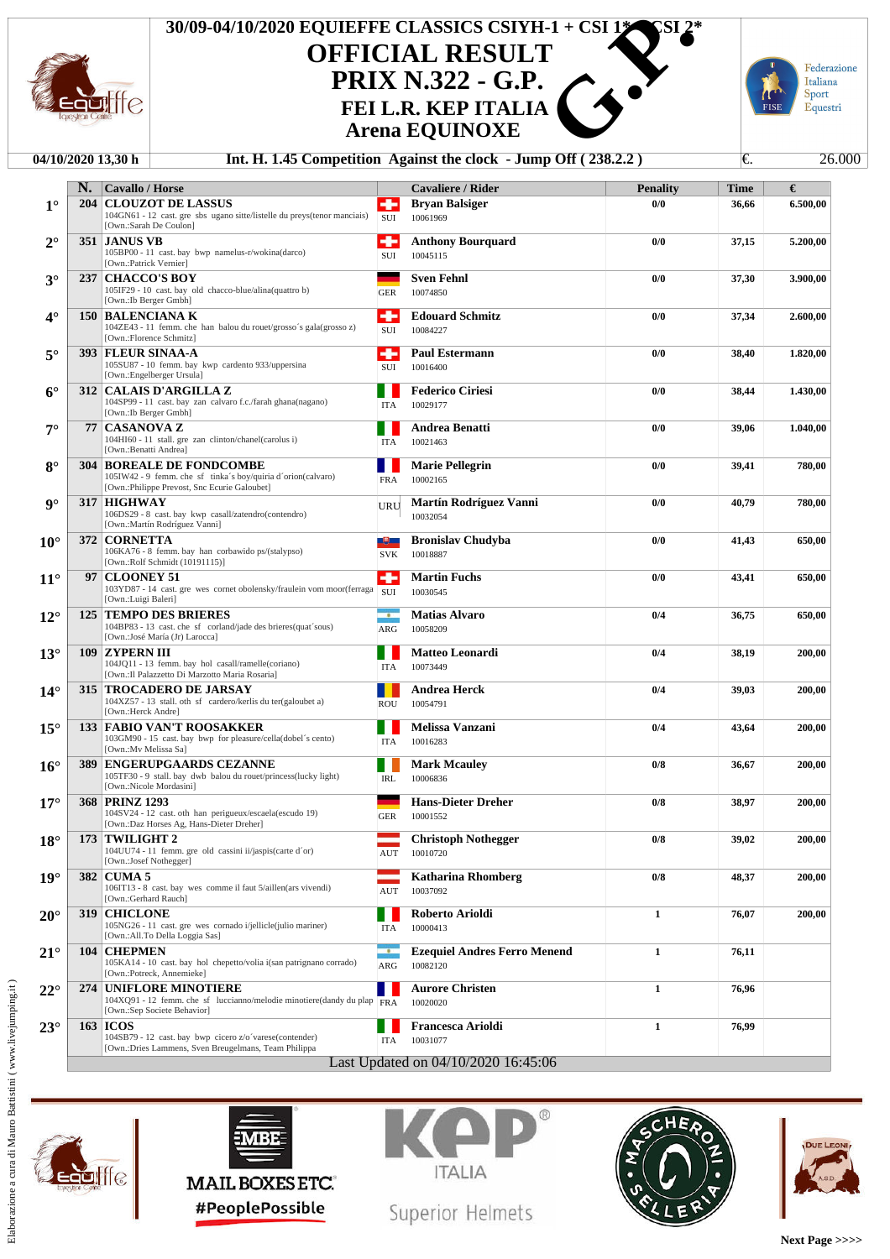

## **OFFICIAL RESULT PRIX N.322 - G.P. Arena EQUINOXE 30/09-04/10/2020 EQUIEFFE CLASSICS CSIYH-1 + CSI 1\***<br> **OFFICIAL RESULT**<br> **PRIX N.322 - G.P.**<br>
FEI L.R. KEP ITALIA<br>
Arena EQUINOXE<br>
Int. H. 1.45 Competition Against the clock - Jump Off (238.2.2)



## **04/10/2020 13,30 h Int. H. 1.45 Competition Against the clock - Jump Off (238.2.2)** €. 26.000

| ٠<br>$1^{\circ}$<br><b>CLOUZOT DE LASSUS</b><br><b>Bryan Balsiger</b><br>204<br>0/0<br>36,66<br>104GN61 - 12 cast. gre sbs ugano sitte/listelle du preys(tenor manciais)<br>SUI<br>10061969<br>[Own.:Sarah De Coulon]<br>۰<br>351 JANUS VB<br><b>Anthony Bourguard</b><br>0/0<br>37,15<br>5.200,00<br>$2^{\circ}$<br>105BP00 - 11 cast. bay bwp namelus-r/wokina(darco)<br>SUI<br>10045115<br>[Own.:Patrick Vernier]<br>237   CHACCO'S BOY<br><b>Sven Fehnl</b><br>$3^\circ$<br>0/0<br>3.900.00<br>37,30<br>105IF29 - 10 cast. bay old chacco-blue/alina(quattro b)<br>10074850<br><b>GER</b><br>[Own.:Ib Berger Gmbh]<br>۰<br>150   BALENCIANA K<br><b>Edouard Schmitz</b><br>$4^\circ$<br>0/0<br>37,34<br>104ZE43 - 11 femm. che han balou du rouet/grosso's gala(grosso z)<br>SUI<br>10084227<br>[Own.:Florence Schmitz]<br>۰<br>$5^\circ$<br>393 FLEUR SINAA-A<br><b>Paul Estermann</b><br>0/0<br>38,40<br>1.820,00<br>105SU87 - 10 femm. bay kwp cardento 933/uppersina<br>SUI<br>10016400<br>[Own.:Engelberger Ursula]<br><b>312   CALAIS D'ARGILLA Z</b><br><b>Federico Ciriesi</b><br>0/0<br>1.430,00<br>$6^\circ$<br>38,44<br>104SP99 - 11 cast. bay zan calvaro f.c./farah ghana(nagano)<br>10029177<br>ITA<br>[Own.:Ib Berger Gmbh]<br><b>CASANOVA Z</b><br>Andrea Benatti<br>77<br>0/0<br>39,06<br>$7^{\circ}$<br>104HI60 - 11 stall. gre zan clinton/chanel(carolus i)<br><b>ITA</b><br>10021463<br>[Own.:Benatti Andrea]<br><b>BOREALE DE FONDCOMBE</b><br>$8^{\circ}$<br><b>Marie Pellegrin</b><br>0/0<br>304 I<br>39,41<br>780,00<br>105IW42 - 9 femm. che sf tinka's boy/quiria d'orion(calvaro)<br>10002165<br><b>FRA</b><br>[Own.:Philippe Prevost, Snc Ecurie Galoubet]<br>317 HIGHWAY<br>Martín Rodríguez Vanni<br>0/0<br>$\mathbf{Q}^{\circ}$<br>40,79<br>780,00<br>URU<br>106DS29 - 8 cast. bay kwp casall/zatendro(contendro)<br>10032054<br>[Own.:Martín Rodríguez Vanni]<br><b>Bronislav Chudyba</b><br><b>372   CORNETTA</b><br>0/0<br>$10^{\circ}$<br>四<br>41,43<br>106KA76 - 8 femm. bay han corbawido ps/(stalypso)<br><b>SVK</b><br>10018887<br>[Own.:Rolf Schmidt (10191115)]<br>۰<br>97   CLOONEY 51<br><b>Martin Fuchs</b><br>$11^{\circ}$<br>0/0<br>43,41<br>650,00<br>103YD87 - 14 cast. gre wes cornet obolensky/fraulein vom moor(ferraga<br>SUI<br>10030545<br>[Own.:Luigi Baleri]<br><b>125 TEMPO DES BRIERES</b><br><b>Matias Alvaro</b><br>0/4<br>650,00<br>$12^{\circ}$<br>$\cdot$<br>36,75<br>104BP83 - 13 cast. che sf corland/jade des brieres(quat'sous)<br>10058209<br>ARG<br>[Own.:José María (Jr) Larocca]<br>Matteo Leonardi<br>$13^\circ$<br>109<br>  ZYPERN III<br>0/4<br>38,19<br>104JQ11 - 13 femm. bay hol casall/ramelle(coriano)<br><b>ITA</b><br>10073449<br>[Own.: Il Palazzetto Di Marzotto Maria Rosaria]<br><b>315   TROCADERO DE JARSAY</b><br><b>Andrea Herck</b><br>$14^{\circ}$<br>0/4<br>39,03<br>200,00<br>104XZ57 - 13 stall. oth sf cardero/kerlis du ter(galoubet a)<br>10054791<br><b>ROU</b><br>[Own.:Herck Andre]<br><b>133 FABIO VAN'T ROOSAKKER</b><br>Melissa Vanzani<br>$15^{\circ}$<br>0/4<br>43,64<br>200,00<br>103GM90 - 15 cast. bay bwp for pleasure/cella(dobel's cento)<br>10016283<br>ITA<br>[Own.:Mv Melissa Sa]<br><b>389 ENGERUPGAARDS CEZANNE</b><br>$16^{\circ}$<br><b>Mark Mcauley</b><br>0/8<br>36,67<br>105TF30 - 9 stall. bay dwb balou du rouet/princess(lucky light)<br><b>IRL</b><br>10006836<br>[Own.:Nicole Mordasini]<br>368 PRINZ 1293<br><b>Hans-Dieter Dreher</b><br>0/8<br>$17^{\circ}$<br>38,97<br>200,00<br>104SV24 - 12 cast. oth han perigueux/escaela(escudo 19)<br><b>GER</b><br>10001552<br>[Own.:Daz Horses Ag, Hans-Dieter Dreher]<br>173 TWILIGHT 2<br>$18^{\circ}$<br><b>Christoph Nothegger</b><br>0/8<br>39,02<br>200,00<br>104UU74 - 11 femm. gre old cassini ii/jaspis(carte d'or)<br>$\mathop{\rm AUT}$<br>10010720<br>[Own.:Josef Nothegger]<br><b>Katharina Rhomberg</b><br>$19^\circ$<br>382<br><b>CUMA 5</b><br>0/8<br>48,37<br>106IT13 - 8 cast. bay wes comme il faut 5/aillen(ars vivendi)<br>AUT<br>10037092<br>[Own.:Gerhard Rauch]<br>Roberto Arioldi<br>$\mathbf{1}$<br><b>CHICLONE</b><br>$20^{\circ}$<br>319<br>76,07<br>200,00<br>105NG26 - 11 cast. gre wes cornado i/jellicle(julio mariner)<br>10000413<br>ITA<br>[Own.:All.To Della Loggia Sas]<br><b>Ezequiel Andres Ferro Menend</b><br>$21^{\circ}$<br><b>CHEPMEN</b><br>$\mathbf{1}$<br><b>104</b><br>$\overline{\phantom{a}}$<br>76,11<br>105KA14 - 10 cast. bay hol chepetto/volia i(san patrignano corrado)<br>10082120<br>ARG<br>[Own.:Potreck, Annemieke]<br>UNIFLORE MINOTIERE<br><b>Aurore Christen</b><br>$\mathbf{1}$<br>$22^{\circ}$<br>274<br>76,96<br>104XQ91 - 12 femm. che sf luccianno/melodie minotiere(dandy du plap $\sqrt{\text{FRA}}$<br>10020020<br>[Own.:Sep Societe Behavior]<br><b>163 ICOS</b><br><b>Francesca Arioldi</b><br>$\mathbf{1}$<br>$23^\circ$<br>76,99<br>104SB79 - 12 cast. bay bwp cicero z/o'varese(contender)<br>10031077<br>ITA<br>[Own.:Dries Lammens, Sven Breugelmans, Team Philippa<br>Last Updated on 04/10/2020 16:45:06 | N. | <b>Cavallo / Horse</b> | <b>Cavaliere / Rider</b> | <b>Penality</b> | Time | €        |
|-------------------------------------------------------------------------------------------------------------------------------------------------------------------------------------------------------------------------------------------------------------------------------------------------------------------------------------------------------------------------------------------------------------------------------------------------------------------------------------------------------------------------------------------------------------------------------------------------------------------------------------------------------------------------------------------------------------------------------------------------------------------------------------------------------------------------------------------------------------------------------------------------------------------------------------------------------------------------------------------------------------------------------------------------------------------------------------------------------------------------------------------------------------------------------------------------------------------------------------------------------------------------------------------------------------------------------------------------------------------------------------------------------------------------------------------------------------------------------------------------------------------------------------------------------------------------------------------------------------------------------------------------------------------------------------------------------------------------------------------------------------------------------------------------------------------------------------------------------------------------------------------------------------------------------------------------------------------------------------------------------------------------------------------------------------------------------------------------------------------------------------------------------------------------------------------------------------------------------------------------------------------------------------------------------------------------------------------------------------------------------------------------------------------------------------------------------------------------------------------------------------------------------------------------------------------------------------------------------------------------------------------------------------------------------------------------------------------------------------------------------------------------------------------------------------------------------------------------------------------------------------------------------------------------------------------------------------------------------------------------------------------------------------------------------------------------------------------------------------------------------------------------------------------------------------------------------------------------------------------------------------------------------------------------------------------------------------------------------------------------------------------------------------------------------------------------------------------------------------------------------------------------------------------------------------------------------------------------------------------------------------------------------------------------------------------------------------------------------------------------------------------------------------------------------------------------------------------------------------------------------------------------------------------------------------------------------------------------------------------------------------------------------------------------------------------------------------------------------------------------------------------------------------------------------------------------------------------------------------------------------------------------------------------------------------------------------------------------------------------------------------------------------------------------------------------------------------------------------------------------------------------------------------------------------------------------------------------------------------------------------------------------------------------------------------------------------------------------------------------------------------------------------------------------------------------------------------------------------------------------------------------------------------------------------------------------------------------------------------------------------------------------------------------------------------------------|----|------------------------|--------------------------|-----------------|------|----------|
|                                                                                                                                                                                                                                                                                                                                                                                                                                                                                                                                                                                                                                                                                                                                                                                                                                                                                                                                                                                                                                                                                                                                                                                                                                                                                                                                                                                                                                                                                                                                                                                                                                                                                                                                                                                                                                                                                                                                                                                                                                                                                                                                                                                                                                                                                                                                                                                                                                                                                                                                                                                                                                                                                                                                                                                                                                                                                                                                                                                                                                                                                                                                                                                                                                                                                                                                                                                                                                                                                                                                                                                                                                                                                                                                                                                                                                                                                                                                                                                                                                                                                                                                                                                                                                                                                                                                                                                                                                                                                                                                                                                                                                                                                                                                                                                                                                                                                                                                                                                                                                                                         |    |                        |                          |                 |      | 6.500,00 |
|                                                                                                                                                                                                                                                                                                                                                                                                                                                                                                                                                                                                                                                                                                                                                                                                                                                                                                                                                                                                                                                                                                                                                                                                                                                                                                                                                                                                                                                                                                                                                                                                                                                                                                                                                                                                                                                                                                                                                                                                                                                                                                                                                                                                                                                                                                                                                                                                                                                                                                                                                                                                                                                                                                                                                                                                                                                                                                                                                                                                                                                                                                                                                                                                                                                                                                                                                                                                                                                                                                                                                                                                                                                                                                                                                                                                                                                                                                                                                                                                                                                                                                                                                                                                                                                                                                                                                                                                                                                                                                                                                                                                                                                                                                                                                                                                                                                                                                                                                                                                                                                                         |    |                        |                          |                 |      |          |
|                                                                                                                                                                                                                                                                                                                                                                                                                                                                                                                                                                                                                                                                                                                                                                                                                                                                                                                                                                                                                                                                                                                                                                                                                                                                                                                                                                                                                                                                                                                                                                                                                                                                                                                                                                                                                                                                                                                                                                                                                                                                                                                                                                                                                                                                                                                                                                                                                                                                                                                                                                                                                                                                                                                                                                                                                                                                                                                                                                                                                                                                                                                                                                                                                                                                                                                                                                                                                                                                                                                                                                                                                                                                                                                                                                                                                                                                                                                                                                                                                                                                                                                                                                                                                                                                                                                                                                                                                                                                                                                                                                                                                                                                                                                                                                                                                                                                                                                                                                                                                                                                         |    |                        |                          |                 |      |          |
|                                                                                                                                                                                                                                                                                                                                                                                                                                                                                                                                                                                                                                                                                                                                                                                                                                                                                                                                                                                                                                                                                                                                                                                                                                                                                                                                                                                                                                                                                                                                                                                                                                                                                                                                                                                                                                                                                                                                                                                                                                                                                                                                                                                                                                                                                                                                                                                                                                                                                                                                                                                                                                                                                                                                                                                                                                                                                                                                                                                                                                                                                                                                                                                                                                                                                                                                                                                                                                                                                                                                                                                                                                                                                                                                                                                                                                                                                                                                                                                                                                                                                                                                                                                                                                                                                                                                                                                                                                                                                                                                                                                                                                                                                                                                                                                                                                                                                                                                                                                                                                                                         |    |                        |                          |                 |      |          |
|                                                                                                                                                                                                                                                                                                                                                                                                                                                                                                                                                                                                                                                                                                                                                                                                                                                                                                                                                                                                                                                                                                                                                                                                                                                                                                                                                                                                                                                                                                                                                                                                                                                                                                                                                                                                                                                                                                                                                                                                                                                                                                                                                                                                                                                                                                                                                                                                                                                                                                                                                                                                                                                                                                                                                                                                                                                                                                                                                                                                                                                                                                                                                                                                                                                                                                                                                                                                                                                                                                                                                                                                                                                                                                                                                                                                                                                                                                                                                                                                                                                                                                                                                                                                                                                                                                                                                                                                                                                                                                                                                                                                                                                                                                                                                                                                                                                                                                                                                                                                                                                                         |    |                        |                          |                 |      |          |
|                                                                                                                                                                                                                                                                                                                                                                                                                                                                                                                                                                                                                                                                                                                                                                                                                                                                                                                                                                                                                                                                                                                                                                                                                                                                                                                                                                                                                                                                                                                                                                                                                                                                                                                                                                                                                                                                                                                                                                                                                                                                                                                                                                                                                                                                                                                                                                                                                                                                                                                                                                                                                                                                                                                                                                                                                                                                                                                                                                                                                                                                                                                                                                                                                                                                                                                                                                                                                                                                                                                                                                                                                                                                                                                                                                                                                                                                                                                                                                                                                                                                                                                                                                                                                                                                                                                                                                                                                                                                                                                                                                                                                                                                                                                                                                                                                                                                                                                                                                                                                                                                         |    |                        |                          |                 |      |          |
|                                                                                                                                                                                                                                                                                                                                                                                                                                                                                                                                                                                                                                                                                                                                                                                                                                                                                                                                                                                                                                                                                                                                                                                                                                                                                                                                                                                                                                                                                                                                                                                                                                                                                                                                                                                                                                                                                                                                                                                                                                                                                                                                                                                                                                                                                                                                                                                                                                                                                                                                                                                                                                                                                                                                                                                                                                                                                                                                                                                                                                                                                                                                                                                                                                                                                                                                                                                                                                                                                                                                                                                                                                                                                                                                                                                                                                                                                                                                                                                                                                                                                                                                                                                                                                                                                                                                                                                                                                                                                                                                                                                                                                                                                                                                                                                                                                                                                                                                                                                                                                                                         |    |                        |                          |                 |      |          |
|                                                                                                                                                                                                                                                                                                                                                                                                                                                                                                                                                                                                                                                                                                                                                                                                                                                                                                                                                                                                                                                                                                                                                                                                                                                                                                                                                                                                                                                                                                                                                                                                                                                                                                                                                                                                                                                                                                                                                                                                                                                                                                                                                                                                                                                                                                                                                                                                                                                                                                                                                                                                                                                                                                                                                                                                                                                                                                                                                                                                                                                                                                                                                                                                                                                                                                                                                                                                                                                                                                                                                                                                                                                                                                                                                                                                                                                                                                                                                                                                                                                                                                                                                                                                                                                                                                                                                                                                                                                                                                                                                                                                                                                                                                                                                                                                                                                                                                                                                                                                                                                                         |    |                        |                          |                 |      | 2.600,00 |
|                                                                                                                                                                                                                                                                                                                                                                                                                                                                                                                                                                                                                                                                                                                                                                                                                                                                                                                                                                                                                                                                                                                                                                                                                                                                                                                                                                                                                                                                                                                                                                                                                                                                                                                                                                                                                                                                                                                                                                                                                                                                                                                                                                                                                                                                                                                                                                                                                                                                                                                                                                                                                                                                                                                                                                                                                                                                                                                                                                                                                                                                                                                                                                                                                                                                                                                                                                                                                                                                                                                                                                                                                                                                                                                                                                                                                                                                                                                                                                                                                                                                                                                                                                                                                                                                                                                                                                                                                                                                                                                                                                                                                                                                                                                                                                                                                                                                                                                                                                                                                                                                         |    |                        |                          |                 |      |          |
|                                                                                                                                                                                                                                                                                                                                                                                                                                                                                                                                                                                                                                                                                                                                                                                                                                                                                                                                                                                                                                                                                                                                                                                                                                                                                                                                                                                                                                                                                                                                                                                                                                                                                                                                                                                                                                                                                                                                                                                                                                                                                                                                                                                                                                                                                                                                                                                                                                                                                                                                                                                                                                                                                                                                                                                                                                                                                                                                                                                                                                                                                                                                                                                                                                                                                                                                                                                                                                                                                                                                                                                                                                                                                                                                                                                                                                                                                                                                                                                                                                                                                                                                                                                                                                                                                                                                                                                                                                                                                                                                                                                                                                                                                                                                                                                                                                                                                                                                                                                                                                                                         |    |                        |                          |                 |      |          |
|                                                                                                                                                                                                                                                                                                                                                                                                                                                                                                                                                                                                                                                                                                                                                                                                                                                                                                                                                                                                                                                                                                                                                                                                                                                                                                                                                                                                                                                                                                                                                                                                                                                                                                                                                                                                                                                                                                                                                                                                                                                                                                                                                                                                                                                                                                                                                                                                                                                                                                                                                                                                                                                                                                                                                                                                                                                                                                                                                                                                                                                                                                                                                                                                                                                                                                                                                                                                                                                                                                                                                                                                                                                                                                                                                                                                                                                                                                                                                                                                                                                                                                                                                                                                                                                                                                                                                                                                                                                                                                                                                                                                                                                                                                                                                                                                                                                                                                                                                                                                                                                                         |    |                        |                          |                 |      |          |
|                                                                                                                                                                                                                                                                                                                                                                                                                                                                                                                                                                                                                                                                                                                                                                                                                                                                                                                                                                                                                                                                                                                                                                                                                                                                                                                                                                                                                                                                                                                                                                                                                                                                                                                                                                                                                                                                                                                                                                                                                                                                                                                                                                                                                                                                                                                                                                                                                                                                                                                                                                                                                                                                                                                                                                                                                                                                                                                                                                                                                                                                                                                                                                                                                                                                                                                                                                                                                                                                                                                                                                                                                                                                                                                                                                                                                                                                                                                                                                                                                                                                                                                                                                                                                                                                                                                                                                                                                                                                                                                                                                                                                                                                                                                                                                                                                                                                                                                                                                                                                                                                         |    |                        |                          |                 |      |          |
|                                                                                                                                                                                                                                                                                                                                                                                                                                                                                                                                                                                                                                                                                                                                                                                                                                                                                                                                                                                                                                                                                                                                                                                                                                                                                                                                                                                                                                                                                                                                                                                                                                                                                                                                                                                                                                                                                                                                                                                                                                                                                                                                                                                                                                                                                                                                                                                                                                                                                                                                                                                                                                                                                                                                                                                                                                                                                                                                                                                                                                                                                                                                                                                                                                                                                                                                                                                                                                                                                                                                                                                                                                                                                                                                                                                                                                                                                                                                                                                                                                                                                                                                                                                                                                                                                                                                                                                                                                                                                                                                                                                                                                                                                                                                                                                                                                                                                                                                                                                                                                                                         |    |                        |                          |                 |      |          |
|                                                                                                                                                                                                                                                                                                                                                                                                                                                                                                                                                                                                                                                                                                                                                                                                                                                                                                                                                                                                                                                                                                                                                                                                                                                                                                                                                                                                                                                                                                                                                                                                                                                                                                                                                                                                                                                                                                                                                                                                                                                                                                                                                                                                                                                                                                                                                                                                                                                                                                                                                                                                                                                                                                                                                                                                                                                                                                                                                                                                                                                                                                                                                                                                                                                                                                                                                                                                                                                                                                                                                                                                                                                                                                                                                                                                                                                                                                                                                                                                                                                                                                                                                                                                                                                                                                                                                                                                                                                                                                                                                                                                                                                                                                                                                                                                                                                                                                                                                                                                                                                                         |    |                        |                          |                 |      |          |
|                                                                                                                                                                                                                                                                                                                                                                                                                                                                                                                                                                                                                                                                                                                                                                                                                                                                                                                                                                                                                                                                                                                                                                                                                                                                                                                                                                                                                                                                                                                                                                                                                                                                                                                                                                                                                                                                                                                                                                                                                                                                                                                                                                                                                                                                                                                                                                                                                                                                                                                                                                                                                                                                                                                                                                                                                                                                                                                                                                                                                                                                                                                                                                                                                                                                                                                                                                                                                                                                                                                                                                                                                                                                                                                                                                                                                                                                                                                                                                                                                                                                                                                                                                                                                                                                                                                                                                                                                                                                                                                                                                                                                                                                                                                                                                                                                                                                                                                                                                                                                                                                         |    |                        |                          |                 |      | 1.040,00 |
|                                                                                                                                                                                                                                                                                                                                                                                                                                                                                                                                                                                                                                                                                                                                                                                                                                                                                                                                                                                                                                                                                                                                                                                                                                                                                                                                                                                                                                                                                                                                                                                                                                                                                                                                                                                                                                                                                                                                                                                                                                                                                                                                                                                                                                                                                                                                                                                                                                                                                                                                                                                                                                                                                                                                                                                                                                                                                                                                                                                                                                                                                                                                                                                                                                                                                                                                                                                                                                                                                                                                                                                                                                                                                                                                                                                                                                                                                                                                                                                                                                                                                                                                                                                                                                                                                                                                                                                                                                                                                                                                                                                                                                                                                                                                                                                                                                                                                                                                                                                                                                                                         |    |                        |                          |                 |      |          |
|                                                                                                                                                                                                                                                                                                                                                                                                                                                                                                                                                                                                                                                                                                                                                                                                                                                                                                                                                                                                                                                                                                                                                                                                                                                                                                                                                                                                                                                                                                                                                                                                                                                                                                                                                                                                                                                                                                                                                                                                                                                                                                                                                                                                                                                                                                                                                                                                                                                                                                                                                                                                                                                                                                                                                                                                                                                                                                                                                                                                                                                                                                                                                                                                                                                                                                                                                                                                                                                                                                                                                                                                                                                                                                                                                                                                                                                                                                                                                                                                                                                                                                                                                                                                                                                                                                                                                                                                                                                                                                                                                                                                                                                                                                                                                                                                                                                                                                                                                                                                                                                                         |    |                        |                          |                 |      |          |
|                                                                                                                                                                                                                                                                                                                                                                                                                                                                                                                                                                                                                                                                                                                                                                                                                                                                                                                                                                                                                                                                                                                                                                                                                                                                                                                                                                                                                                                                                                                                                                                                                                                                                                                                                                                                                                                                                                                                                                                                                                                                                                                                                                                                                                                                                                                                                                                                                                                                                                                                                                                                                                                                                                                                                                                                                                                                                                                                                                                                                                                                                                                                                                                                                                                                                                                                                                                                                                                                                                                                                                                                                                                                                                                                                                                                                                                                                                                                                                                                                                                                                                                                                                                                                                                                                                                                                                                                                                                                                                                                                                                                                                                                                                                                                                                                                                                                                                                                                                                                                                                                         |    |                        |                          |                 |      |          |
|                                                                                                                                                                                                                                                                                                                                                                                                                                                                                                                                                                                                                                                                                                                                                                                                                                                                                                                                                                                                                                                                                                                                                                                                                                                                                                                                                                                                                                                                                                                                                                                                                                                                                                                                                                                                                                                                                                                                                                                                                                                                                                                                                                                                                                                                                                                                                                                                                                                                                                                                                                                                                                                                                                                                                                                                                                                                                                                                                                                                                                                                                                                                                                                                                                                                                                                                                                                                                                                                                                                                                                                                                                                                                                                                                                                                                                                                                                                                                                                                                                                                                                                                                                                                                                                                                                                                                                                                                                                                                                                                                                                                                                                                                                                                                                                                                                                                                                                                                                                                                                                                         |    |                        |                          |                 |      |          |
|                                                                                                                                                                                                                                                                                                                                                                                                                                                                                                                                                                                                                                                                                                                                                                                                                                                                                                                                                                                                                                                                                                                                                                                                                                                                                                                                                                                                                                                                                                                                                                                                                                                                                                                                                                                                                                                                                                                                                                                                                                                                                                                                                                                                                                                                                                                                                                                                                                                                                                                                                                                                                                                                                                                                                                                                                                                                                                                                                                                                                                                                                                                                                                                                                                                                                                                                                                                                                                                                                                                                                                                                                                                                                                                                                                                                                                                                                                                                                                                                                                                                                                                                                                                                                                                                                                                                                                                                                                                                                                                                                                                                                                                                                                                                                                                                                                                                                                                                                                                                                                                                         |    |                        |                          |                 |      |          |
|                                                                                                                                                                                                                                                                                                                                                                                                                                                                                                                                                                                                                                                                                                                                                                                                                                                                                                                                                                                                                                                                                                                                                                                                                                                                                                                                                                                                                                                                                                                                                                                                                                                                                                                                                                                                                                                                                                                                                                                                                                                                                                                                                                                                                                                                                                                                                                                                                                                                                                                                                                                                                                                                                                                                                                                                                                                                                                                                                                                                                                                                                                                                                                                                                                                                                                                                                                                                                                                                                                                                                                                                                                                                                                                                                                                                                                                                                                                                                                                                                                                                                                                                                                                                                                                                                                                                                                                                                                                                                                                                                                                                                                                                                                                                                                                                                                                                                                                                                                                                                                                                         |    |                        |                          |                 |      |          |
|                                                                                                                                                                                                                                                                                                                                                                                                                                                                                                                                                                                                                                                                                                                                                                                                                                                                                                                                                                                                                                                                                                                                                                                                                                                                                                                                                                                                                                                                                                                                                                                                                                                                                                                                                                                                                                                                                                                                                                                                                                                                                                                                                                                                                                                                                                                                                                                                                                                                                                                                                                                                                                                                                                                                                                                                                                                                                                                                                                                                                                                                                                                                                                                                                                                                                                                                                                                                                                                                                                                                                                                                                                                                                                                                                                                                                                                                                                                                                                                                                                                                                                                                                                                                                                                                                                                                                                                                                                                                                                                                                                                                                                                                                                                                                                                                                                                                                                                                                                                                                                                                         |    |                        |                          |                 |      | 650,00   |
|                                                                                                                                                                                                                                                                                                                                                                                                                                                                                                                                                                                                                                                                                                                                                                                                                                                                                                                                                                                                                                                                                                                                                                                                                                                                                                                                                                                                                                                                                                                                                                                                                                                                                                                                                                                                                                                                                                                                                                                                                                                                                                                                                                                                                                                                                                                                                                                                                                                                                                                                                                                                                                                                                                                                                                                                                                                                                                                                                                                                                                                                                                                                                                                                                                                                                                                                                                                                                                                                                                                                                                                                                                                                                                                                                                                                                                                                                                                                                                                                                                                                                                                                                                                                                                                                                                                                                                                                                                                                                                                                                                                                                                                                                                                                                                                                                                                                                                                                                                                                                                                                         |    |                        |                          |                 |      |          |
|                                                                                                                                                                                                                                                                                                                                                                                                                                                                                                                                                                                                                                                                                                                                                                                                                                                                                                                                                                                                                                                                                                                                                                                                                                                                                                                                                                                                                                                                                                                                                                                                                                                                                                                                                                                                                                                                                                                                                                                                                                                                                                                                                                                                                                                                                                                                                                                                                                                                                                                                                                                                                                                                                                                                                                                                                                                                                                                                                                                                                                                                                                                                                                                                                                                                                                                                                                                                                                                                                                                                                                                                                                                                                                                                                                                                                                                                                                                                                                                                                                                                                                                                                                                                                                                                                                                                                                                                                                                                                                                                                                                                                                                                                                                                                                                                                                                                                                                                                                                                                                                                         |    |                        |                          |                 |      |          |
|                                                                                                                                                                                                                                                                                                                                                                                                                                                                                                                                                                                                                                                                                                                                                                                                                                                                                                                                                                                                                                                                                                                                                                                                                                                                                                                                                                                                                                                                                                                                                                                                                                                                                                                                                                                                                                                                                                                                                                                                                                                                                                                                                                                                                                                                                                                                                                                                                                                                                                                                                                                                                                                                                                                                                                                                                                                                                                                                                                                                                                                                                                                                                                                                                                                                                                                                                                                                                                                                                                                                                                                                                                                                                                                                                                                                                                                                                                                                                                                                                                                                                                                                                                                                                                                                                                                                                                                                                                                                                                                                                                                                                                                                                                                                                                                                                                                                                                                                                                                                                                                                         |    |                        |                          |                 |      |          |
|                                                                                                                                                                                                                                                                                                                                                                                                                                                                                                                                                                                                                                                                                                                                                                                                                                                                                                                                                                                                                                                                                                                                                                                                                                                                                                                                                                                                                                                                                                                                                                                                                                                                                                                                                                                                                                                                                                                                                                                                                                                                                                                                                                                                                                                                                                                                                                                                                                                                                                                                                                                                                                                                                                                                                                                                                                                                                                                                                                                                                                                                                                                                                                                                                                                                                                                                                                                                                                                                                                                                                                                                                                                                                                                                                                                                                                                                                                                                                                                                                                                                                                                                                                                                                                                                                                                                                                                                                                                                                                                                                                                                                                                                                                                                                                                                                                                                                                                                                                                                                                                                         |    |                        |                          |                 |      |          |
|                                                                                                                                                                                                                                                                                                                                                                                                                                                                                                                                                                                                                                                                                                                                                                                                                                                                                                                                                                                                                                                                                                                                                                                                                                                                                                                                                                                                                                                                                                                                                                                                                                                                                                                                                                                                                                                                                                                                                                                                                                                                                                                                                                                                                                                                                                                                                                                                                                                                                                                                                                                                                                                                                                                                                                                                                                                                                                                                                                                                                                                                                                                                                                                                                                                                                                                                                                                                                                                                                                                                                                                                                                                                                                                                                                                                                                                                                                                                                                                                                                                                                                                                                                                                                                                                                                                                                                                                                                                                                                                                                                                                                                                                                                                                                                                                                                                                                                                                                                                                                                                                         |    |                        |                          |                 |      |          |
|                                                                                                                                                                                                                                                                                                                                                                                                                                                                                                                                                                                                                                                                                                                                                                                                                                                                                                                                                                                                                                                                                                                                                                                                                                                                                                                                                                                                                                                                                                                                                                                                                                                                                                                                                                                                                                                                                                                                                                                                                                                                                                                                                                                                                                                                                                                                                                                                                                                                                                                                                                                                                                                                                                                                                                                                                                                                                                                                                                                                                                                                                                                                                                                                                                                                                                                                                                                                                                                                                                                                                                                                                                                                                                                                                                                                                                                                                                                                                                                                                                                                                                                                                                                                                                                                                                                                                                                                                                                                                                                                                                                                                                                                                                                                                                                                                                                                                                                                                                                                                                                                         |    |                        |                          |                 |      |          |
|                                                                                                                                                                                                                                                                                                                                                                                                                                                                                                                                                                                                                                                                                                                                                                                                                                                                                                                                                                                                                                                                                                                                                                                                                                                                                                                                                                                                                                                                                                                                                                                                                                                                                                                                                                                                                                                                                                                                                                                                                                                                                                                                                                                                                                                                                                                                                                                                                                                                                                                                                                                                                                                                                                                                                                                                                                                                                                                                                                                                                                                                                                                                                                                                                                                                                                                                                                                                                                                                                                                                                                                                                                                                                                                                                                                                                                                                                                                                                                                                                                                                                                                                                                                                                                                                                                                                                                                                                                                                                                                                                                                                                                                                                                                                                                                                                                                                                                                                                                                                                                                                         |    |                        |                          |                 |      | 200,00   |
|                                                                                                                                                                                                                                                                                                                                                                                                                                                                                                                                                                                                                                                                                                                                                                                                                                                                                                                                                                                                                                                                                                                                                                                                                                                                                                                                                                                                                                                                                                                                                                                                                                                                                                                                                                                                                                                                                                                                                                                                                                                                                                                                                                                                                                                                                                                                                                                                                                                                                                                                                                                                                                                                                                                                                                                                                                                                                                                                                                                                                                                                                                                                                                                                                                                                                                                                                                                                                                                                                                                                                                                                                                                                                                                                                                                                                                                                                                                                                                                                                                                                                                                                                                                                                                                                                                                                                                                                                                                                                                                                                                                                                                                                                                                                                                                                                                                                                                                                                                                                                                                                         |    |                        |                          |                 |      |          |
|                                                                                                                                                                                                                                                                                                                                                                                                                                                                                                                                                                                                                                                                                                                                                                                                                                                                                                                                                                                                                                                                                                                                                                                                                                                                                                                                                                                                                                                                                                                                                                                                                                                                                                                                                                                                                                                                                                                                                                                                                                                                                                                                                                                                                                                                                                                                                                                                                                                                                                                                                                                                                                                                                                                                                                                                                                                                                                                                                                                                                                                                                                                                                                                                                                                                                                                                                                                                                                                                                                                                                                                                                                                                                                                                                                                                                                                                                                                                                                                                                                                                                                                                                                                                                                                                                                                                                                                                                                                                                                                                                                                                                                                                                                                                                                                                                                                                                                                                                                                                                                                                         |    |                        |                          |                 |      |          |
|                                                                                                                                                                                                                                                                                                                                                                                                                                                                                                                                                                                                                                                                                                                                                                                                                                                                                                                                                                                                                                                                                                                                                                                                                                                                                                                                                                                                                                                                                                                                                                                                                                                                                                                                                                                                                                                                                                                                                                                                                                                                                                                                                                                                                                                                                                                                                                                                                                                                                                                                                                                                                                                                                                                                                                                                                                                                                                                                                                                                                                                                                                                                                                                                                                                                                                                                                                                                                                                                                                                                                                                                                                                                                                                                                                                                                                                                                                                                                                                                                                                                                                                                                                                                                                                                                                                                                                                                                                                                                                                                                                                                                                                                                                                                                                                                                                                                                                                                                                                                                                                                         |    |                        |                          |                 |      |          |
|                                                                                                                                                                                                                                                                                                                                                                                                                                                                                                                                                                                                                                                                                                                                                                                                                                                                                                                                                                                                                                                                                                                                                                                                                                                                                                                                                                                                                                                                                                                                                                                                                                                                                                                                                                                                                                                                                                                                                                                                                                                                                                                                                                                                                                                                                                                                                                                                                                                                                                                                                                                                                                                                                                                                                                                                                                                                                                                                                                                                                                                                                                                                                                                                                                                                                                                                                                                                                                                                                                                                                                                                                                                                                                                                                                                                                                                                                                                                                                                                                                                                                                                                                                                                                                                                                                                                                                                                                                                                                                                                                                                                                                                                                                                                                                                                                                                                                                                                                                                                                                                                         |    |                        |                          |                 |      |          |
|                                                                                                                                                                                                                                                                                                                                                                                                                                                                                                                                                                                                                                                                                                                                                                                                                                                                                                                                                                                                                                                                                                                                                                                                                                                                                                                                                                                                                                                                                                                                                                                                                                                                                                                                                                                                                                                                                                                                                                                                                                                                                                                                                                                                                                                                                                                                                                                                                                                                                                                                                                                                                                                                                                                                                                                                                                                                                                                                                                                                                                                                                                                                                                                                                                                                                                                                                                                                                                                                                                                                                                                                                                                                                                                                                                                                                                                                                                                                                                                                                                                                                                                                                                                                                                                                                                                                                                                                                                                                                                                                                                                                                                                                                                                                                                                                                                                                                                                                                                                                                                                                         |    |                        |                          |                 |      |          |
|                                                                                                                                                                                                                                                                                                                                                                                                                                                                                                                                                                                                                                                                                                                                                                                                                                                                                                                                                                                                                                                                                                                                                                                                                                                                                                                                                                                                                                                                                                                                                                                                                                                                                                                                                                                                                                                                                                                                                                                                                                                                                                                                                                                                                                                                                                                                                                                                                                                                                                                                                                                                                                                                                                                                                                                                                                                                                                                                                                                                                                                                                                                                                                                                                                                                                                                                                                                                                                                                                                                                                                                                                                                                                                                                                                                                                                                                                                                                                                                                                                                                                                                                                                                                                                                                                                                                                                                                                                                                                                                                                                                                                                                                                                                                                                                                                                                                                                                                                                                                                                                                         |    |                        |                          |                 |      |          |
|                                                                                                                                                                                                                                                                                                                                                                                                                                                                                                                                                                                                                                                                                                                                                                                                                                                                                                                                                                                                                                                                                                                                                                                                                                                                                                                                                                                                                                                                                                                                                                                                                                                                                                                                                                                                                                                                                                                                                                                                                                                                                                                                                                                                                                                                                                                                                                                                                                                                                                                                                                                                                                                                                                                                                                                                                                                                                                                                                                                                                                                                                                                                                                                                                                                                                                                                                                                                                                                                                                                                                                                                                                                                                                                                                                                                                                                                                                                                                                                                                                                                                                                                                                                                                                                                                                                                                                                                                                                                                                                                                                                                                                                                                                                                                                                                                                                                                                                                                                                                                                                                         |    |                        |                          |                 |      | 200,00   |
|                                                                                                                                                                                                                                                                                                                                                                                                                                                                                                                                                                                                                                                                                                                                                                                                                                                                                                                                                                                                                                                                                                                                                                                                                                                                                                                                                                                                                                                                                                                                                                                                                                                                                                                                                                                                                                                                                                                                                                                                                                                                                                                                                                                                                                                                                                                                                                                                                                                                                                                                                                                                                                                                                                                                                                                                                                                                                                                                                                                                                                                                                                                                                                                                                                                                                                                                                                                                                                                                                                                                                                                                                                                                                                                                                                                                                                                                                                                                                                                                                                                                                                                                                                                                                                                                                                                                                                                                                                                                                                                                                                                                                                                                                                                                                                                                                                                                                                                                                                                                                                                                         |    |                        |                          |                 |      |          |
|                                                                                                                                                                                                                                                                                                                                                                                                                                                                                                                                                                                                                                                                                                                                                                                                                                                                                                                                                                                                                                                                                                                                                                                                                                                                                                                                                                                                                                                                                                                                                                                                                                                                                                                                                                                                                                                                                                                                                                                                                                                                                                                                                                                                                                                                                                                                                                                                                                                                                                                                                                                                                                                                                                                                                                                                                                                                                                                                                                                                                                                                                                                                                                                                                                                                                                                                                                                                                                                                                                                                                                                                                                                                                                                                                                                                                                                                                                                                                                                                                                                                                                                                                                                                                                                                                                                                                                                                                                                                                                                                                                                                                                                                                                                                                                                                                                                                                                                                                                                                                                                                         |    |                        |                          |                 |      |          |
|                                                                                                                                                                                                                                                                                                                                                                                                                                                                                                                                                                                                                                                                                                                                                                                                                                                                                                                                                                                                                                                                                                                                                                                                                                                                                                                                                                                                                                                                                                                                                                                                                                                                                                                                                                                                                                                                                                                                                                                                                                                                                                                                                                                                                                                                                                                                                                                                                                                                                                                                                                                                                                                                                                                                                                                                                                                                                                                                                                                                                                                                                                                                                                                                                                                                                                                                                                                                                                                                                                                                                                                                                                                                                                                                                                                                                                                                                                                                                                                                                                                                                                                                                                                                                                                                                                                                                                                                                                                                                                                                                                                                                                                                                                                                                                                                                                                                                                                                                                                                                                                                         |    |                        |                          |                 |      |          |
|                                                                                                                                                                                                                                                                                                                                                                                                                                                                                                                                                                                                                                                                                                                                                                                                                                                                                                                                                                                                                                                                                                                                                                                                                                                                                                                                                                                                                                                                                                                                                                                                                                                                                                                                                                                                                                                                                                                                                                                                                                                                                                                                                                                                                                                                                                                                                                                                                                                                                                                                                                                                                                                                                                                                                                                                                                                                                                                                                                                                                                                                                                                                                                                                                                                                                                                                                                                                                                                                                                                                                                                                                                                                                                                                                                                                                                                                                                                                                                                                                                                                                                                                                                                                                                                                                                                                                                                                                                                                                                                                                                                                                                                                                                                                                                                                                                                                                                                                                                                                                                                                         |    |                        |                          |                 |      |          |
|                                                                                                                                                                                                                                                                                                                                                                                                                                                                                                                                                                                                                                                                                                                                                                                                                                                                                                                                                                                                                                                                                                                                                                                                                                                                                                                                                                                                                                                                                                                                                                                                                                                                                                                                                                                                                                                                                                                                                                                                                                                                                                                                                                                                                                                                                                                                                                                                                                                                                                                                                                                                                                                                                                                                                                                                                                                                                                                                                                                                                                                                                                                                                                                                                                                                                                                                                                                                                                                                                                                                                                                                                                                                                                                                                                                                                                                                                                                                                                                                                                                                                                                                                                                                                                                                                                                                                                                                                                                                                                                                                                                                                                                                                                                                                                                                                                                                                                                                                                                                                                                                         |    |                        |                          |                 |      |          |
|                                                                                                                                                                                                                                                                                                                                                                                                                                                                                                                                                                                                                                                                                                                                                                                                                                                                                                                                                                                                                                                                                                                                                                                                                                                                                                                                                                                                                                                                                                                                                                                                                                                                                                                                                                                                                                                                                                                                                                                                                                                                                                                                                                                                                                                                                                                                                                                                                                                                                                                                                                                                                                                                                                                                                                                                                                                                                                                                                                                                                                                                                                                                                                                                                                                                                                                                                                                                                                                                                                                                                                                                                                                                                                                                                                                                                                                                                                                                                                                                                                                                                                                                                                                                                                                                                                                                                                                                                                                                                                                                                                                                                                                                                                                                                                                                                                                                                                                                                                                                                                                                         |    |                        |                          |                 |      |          |
|                                                                                                                                                                                                                                                                                                                                                                                                                                                                                                                                                                                                                                                                                                                                                                                                                                                                                                                                                                                                                                                                                                                                                                                                                                                                                                                                                                                                                                                                                                                                                                                                                                                                                                                                                                                                                                                                                                                                                                                                                                                                                                                                                                                                                                                                                                                                                                                                                                                                                                                                                                                                                                                                                                                                                                                                                                                                                                                                                                                                                                                                                                                                                                                                                                                                                                                                                                                                                                                                                                                                                                                                                                                                                                                                                                                                                                                                                                                                                                                                                                                                                                                                                                                                                                                                                                                                                                                                                                                                                                                                                                                                                                                                                                                                                                                                                                                                                                                                                                                                                                                                         |    |                        |                          |                 |      | 200,00   |
|                                                                                                                                                                                                                                                                                                                                                                                                                                                                                                                                                                                                                                                                                                                                                                                                                                                                                                                                                                                                                                                                                                                                                                                                                                                                                                                                                                                                                                                                                                                                                                                                                                                                                                                                                                                                                                                                                                                                                                                                                                                                                                                                                                                                                                                                                                                                                                                                                                                                                                                                                                                                                                                                                                                                                                                                                                                                                                                                                                                                                                                                                                                                                                                                                                                                                                                                                                                                                                                                                                                                                                                                                                                                                                                                                                                                                                                                                                                                                                                                                                                                                                                                                                                                                                                                                                                                                                                                                                                                                                                                                                                                                                                                                                                                                                                                                                                                                                                                                                                                                                                                         |    |                        |                          |                 |      |          |
|                                                                                                                                                                                                                                                                                                                                                                                                                                                                                                                                                                                                                                                                                                                                                                                                                                                                                                                                                                                                                                                                                                                                                                                                                                                                                                                                                                                                                                                                                                                                                                                                                                                                                                                                                                                                                                                                                                                                                                                                                                                                                                                                                                                                                                                                                                                                                                                                                                                                                                                                                                                                                                                                                                                                                                                                                                                                                                                                                                                                                                                                                                                                                                                                                                                                                                                                                                                                                                                                                                                                                                                                                                                                                                                                                                                                                                                                                                                                                                                                                                                                                                                                                                                                                                                                                                                                                                                                                                                                                                                                                                                                                                                                                                                                                                                                                                                                                                                                                                                                                                                                         |    |                        |                          |                 |      |          |
|                                                                                                                                                                                                                                                                                                                                                                                                                                                                                                                                                                                                                                                                                                                                                                                                                                                                                                                                                                                                                                                                                                                                                                                                                                                                                                                                                                                                                                                                                                                                                                                                                                                                                                                                                                                                                                                                                                                                                                                                                                                                                                                                                                                                                                                                                                                                                                                                                                                                                                                                                                                                                                                                                                                                                                                                                                                                                                                                                                                                                                                                                                                                                                                                                                                                                                                                                                                                                                                                                                                                                                                                                                                                                                                                                                                                                                                                                                                                                                                                                                                                                                                                                                                                                                                                                                                                                                                                                                                                                                                                                                                                                                                                                                                                                                                                                                                                                                                                                                                                                                                                         |    |                        |                          |                 |      |          |
|                                                                                                                                                                                                                                                                                                                                                                                                                                                                                                                                                                                                                                                                                                                                                                                                                                                                                                                                                                                                                                                                                                                                                                                                                                                                                                                                                                                                                                                                                                                                                                                                                                                                                                                                                                                                                                                                                                                                                                                                                                                                                                                                                                                                                                                                                                                                                                                                                                                                                                                                                                                                                                                                                                                                                                                                                                                                                                                                                                                                                                                                                                                                                                                                                                                                                                                                                                                                                                                                                                                                                                                                                                                                                                                                                                                                                                                                                                                                                                                                                                                                                                                                                                                                                                                                                                                                                                                                                                                                                                                                                                                                                                                                                                                                                                                                                                                                                                                                                                                                                                                                         |    |                        |                          |                 |      |          |
|                                                                                                                                                                                                                                                                                                                                                                                                                                                                                                                                                                                                                                                                                                                                                                                                                                                                                                                                                                                                                                                                                                                                                                                                                                                                                                                                                                                                                                                                                                                                                                                                                                                                                                                                                                                                                                                                                                                                                                                                                                                                                                                                                                                                                                                                                                                                                                                                                                                                                                                                                                                                                                                                                                                                                                                                                                                                                                                                                                                                                                                                                                                                                                                                                                                                                                                                                                                                                                                                                                                                                                                                                                                                                                                                                                                                                                                                                                                                                                                                                                                                                                                                                                                                                                                                                                                                                                                                                                                                                                                                                                                                                                                                                                                                                                                                                                                                                                                                                                                                                                                                         |    |                        |                          |                 |      |          |
|                                                                                                                                                                                                                                                                                                                                                                                                                                                                                                                                                                                                                                                                                                                                                                                                                                                                                                                                                                                                                                                                                                                                                                                                                                                                                                                                                                                                                                                                                                                                                                                                                                                                                                                                                                                                                                                                                                                                                                                                                                                                                                                                                                                                                                                                                                                                                                                                                                                                                                                                                                                                                                                                                                                                                                                                                                                                                                                                                                                                                                                                                                                                                                                                                                                                                                                                                                                                                                                                                                                                                                                                                                                                                                                                                                                                                                                                                                                                                                                                                                                                                                                                                                                                                                                                                                                                                                                                                                                                                                                                                                                                                                                                                                                                                                                                                                                                                                                                                                                                                                                                         |    |                        |                          |                 |      |          |
|                                                                                                                                                                                                                                                                                                                                                                                                                                                                                                                                                                                                                                                                                                                                                                                                                                                                                                                                                                                                                                                                                                                                                                                                                                                                                                                                                                                                                                                                                                                                                                                                                                                                                                                                                                                                                                                                                                                                                                                                                                                                                                                                                                                                                                                                                                                                                                                                                                                                                                                                                                                                                                                                                                                                                                                                                                                                                                                                                                                                                                                                                                                                                                                                                                                                                                                                                                                                                                                                                                                                                                                                                                                                                                                                                                                                                                                                                                                                                                                                                                                                                                                                                                                                                                                                                                                                                                                                                                                                                                                                                                                                                                                                                                                                                                                                                                                                                                                                                                                                                                                                         |    |                        |                          |                 |      |          |
|                                                                                                                                                                                                                                                                                                                                                                                                                                                                                                                                                                                                                                                                                                                                                                                                                                                                                                                                                                                                                                                                                                                                                                                                                                                                                                                                                                                                                                                                                                                                                                                                                                                                                                                                                                                                                                                                                                                                                                                                                                                                                                                                                                                                                                                                                                                                                                                                                                                                                                                                                                                                                                                                                                                                                                                                                                                                                                                                                                                                                                                                                                                                                                                                                                                                                                                                                                                                                                                                                                                                                                                                                                                                                                                                                                                                                                                                                                                                                                                                                                                                                                                                                                                                                                                                                                                                                                                                                                                                                                                                                                                                                                                                                                                                                                                                                                                                                                                                                                                                                                                                         |    |                        |                          |                 |      |          |
|                                                                                                                                                                                                                                                                                                                                                                                                                                                                                                                                                                                                                                                                                                                                                                                                                                                                                                                                                                                                                                                                                                                                                                                                                                                                                                                                                                                                                                                                                                                                                                                                                                                                                                                                                                                                                                                                                                                                                                                                                                                                                                                                                                                                                                                                                                                                                                                                                                                                                                                                                                                                                                                                                                                                                                                                                                                                                                                                                                                                                                                                                                                                                                                                                                                                                                                                                                                                                                                                                                                                                                                                                                                                                                                                                                                                                                                                                                                                                                                                                                                                                                                                                                                                                                                                                                                                                                                                                                                                                                                                                                                                                                                                                                                                                                                                                                                                                                                                                                                                                                                                         |    |                        |                          |                 |      |          |
|                                                                                                                                                                                                                                                                                                                                                                                                                                                                                                                                                                                                                                                                                                                                                                                                                                                                                                                                                                                                                                                                                                                                                                                                                                                                                                                                                                                                                                                                                                                                                                                                                                                                                                                                                                                                                                                                                                                                                                                                                                                                                                                                                                                                                                                                                                                                                                                                                                                                                                                                                                                                                                                                                                                                                                                                                                                                                                                                                                                                                                                                                                                                                                                                                                                                                                                                                                                                                                                                                                                                                                                                                                                                                                                                                                                                                                                                                                                                                                                                                                                                                                                                                                                                                                                                                                                                                                                                                                                                                                                                                                                                                                                                                                                                                                                                                                                                                                                                                                                                                                                                         |    |                        |                          |                 |      |          |
|                                                                                                                                                                                                                                                                                                                                                                                                                                                                                                                                                                                                                                                                                                                                                                                                                                                                                                                                                                                                                                                                                                                                                                                                                                                                                                                                                                                                                                                                                                                                                                                                                                                                                                                                                                                                                                                                                                                                                                                                                                                                                                                                                                                                                                                                                                                                                                                                                                                                                                                                                                                                                                                                                                                                                                                                                                                                                                                                                                                                                                                                                                                                                                                                                                                                                                                                                                                                                                                                                                                                                                                                                                                                                                                                                                                                                                                                                                                                                                                                                                                                                                                                                                                                                                                                                                                                                                                                                                                                                                                                                                                                                                                                                                                                                                                                                                                                                                                                                                                                                                                                         |    |                        |                          |                 |      |          |





Superior Helmets

 $^\circledR$ 





**Eaulif**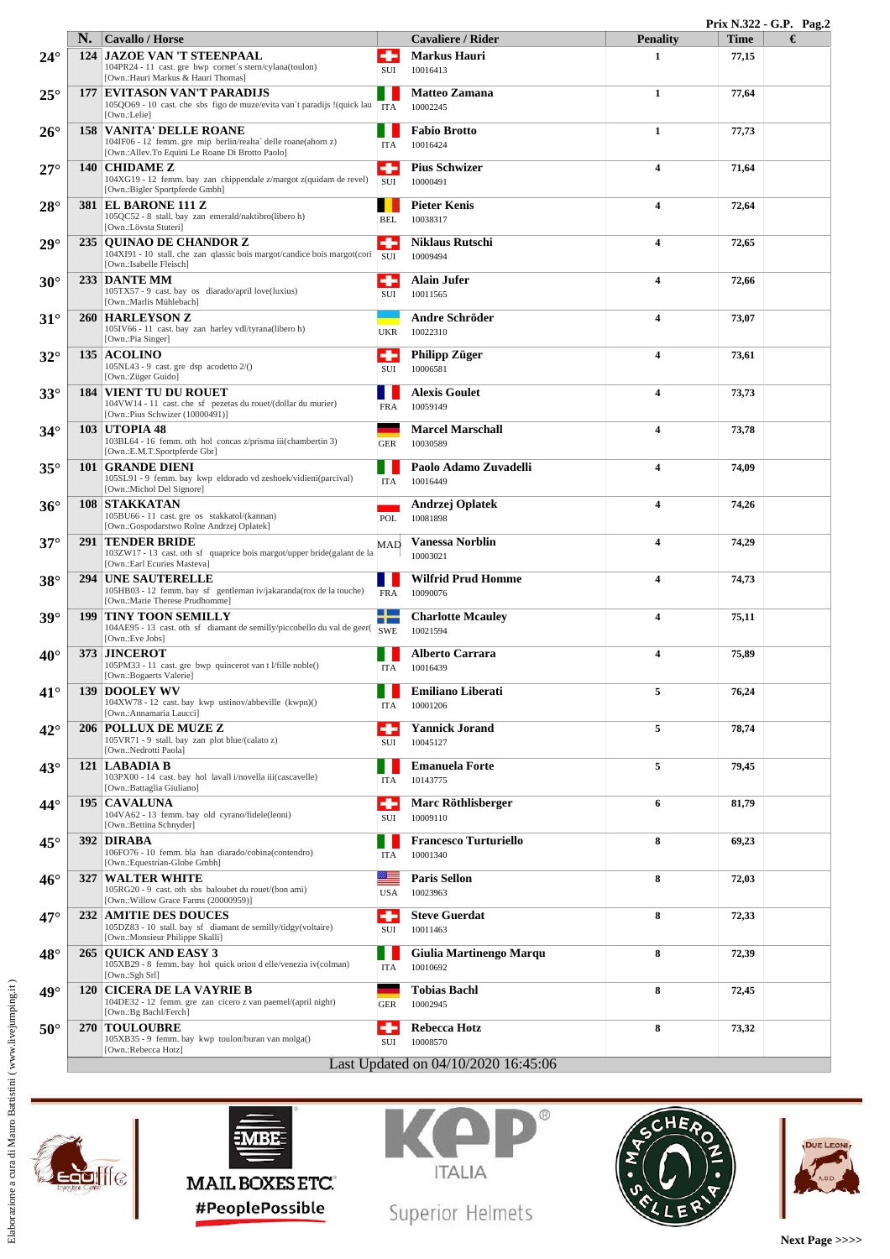|              |            |                                                                                                                                                     |                 |                                          |                         | Prix N.322 - G.P. Pag.2 |   |
|--------------|------------|-----------------------------------------------------------------------------------------------------------------------------------------------------|-----------------|------------------------------------------|-------------------------|-------------------------|---|
|              |            | <b>Cavallo / Horse</b>                                                                                                                              |                 | <b>Cavaliere / Rider</b>                 | <b>Penality</b>         | <b>Time</b>             | € |
| $24^{\circ}$ |            | <b>124 JAZOE VAN 'T STEENPAAL</b><br>104PR24 - 11 cast. gre bwp cornet's stern/cylana(toulon)<br>[Own.:Hauri Markus & Hauri Thomas]                 | SUI             | <b>Markus Hauri</b><br>10016413          | $\mathbf{1}$            | 77,15                   |   |
| $25^{\circ}$ | 177        | <b>EVITASON VAN'T PARADIJS</b><br>105QO69 - 10 cast. che sbs figo de muze/evita van't paradijs !(quick lau<br>[Own.:Lelie]                          | <b>ITA</b>      | <b>Matteo Zamana</b><br>10002245         | $\mathbf{1}$            | 77,64                   |   |
| $26^{\circ}$ |            | <b>158 VANITA' DELLE ROANE</b><br>104IF06 - 12 femm. gre mip berlin/realta' delle roane(ahorn z)<br>[Own.:Allev.To Equini Le Roane Di Brotto Paolo] | <b>ITA</b>      | <b>Fabio Brotto</b><br>10016424          | 1                       | 77,73                   |   |
| $27^{\circ}$ |            | 140 CHIDAME Z<br>104XG19 - 12 femm. bay zan chippendale z/margot z(quidam de revel)<br>[Own.:Bigler Sportpferde Gmbh]                               | SUI             | <b>Pius Schwizer</b><br>10000491         | $\overline{4}$          | 71,64                   |   |
| $28^\circ$   |            | <b>381 EL BARONE 111 Z</b><br>105QC52 - 8 stall. bay zan emerald/naktibro(libero h)<br>[Own.:Lövsta Stuteri]                                        | <b>BEL</b>      | <b>Pieter Kenis</b><br>10038317          | $\overline{\mathbf{4}}$ | 72,64                   |   |
| $29^\circ$   |            | 235   OUINAO DE CHANDOR Z<br>104XI91 - 10 stall. che zan qlassic bois margot/candice bois margot(cori<br>[Own.:Isabelle Fleisch]                    | ۰<br><b>SUI</b> | <b>Niklaus Rutschi</b><br>10009494       | $\overline{4}$          | 72,65                   |   |
| $30^\circ$   |            | 233 DANTE MM<br>105TX57 - 9 cast. bay os diarado/april love(luxius)<br>[Own.:Marlis Mühlebach]                                                      | ۰<br>SUI        | <b>Alain Jufer</b><br>10011565           | $\overline{4}$          | 72,66                   |   |
| $31^\circ$   |            | <b>260 HARLEYSON Z</b><br>105IV66 - 11 cast. bay zan harley vdl/tyrana(libero h)<br>[Own.:Pia Singer]                                               | <b>UKR</b>      | Andre Schröder<br>10022310               | $\overline{\mathbf{4}}$ | 73,07                   |   |
| $32^{\circ}$ |            | $135$ ACOLINO<br>$105NL43 - 9$ cast. gre dsp acodetto $2/()$<br>[Own.:Züger Guido]                                                                  | ÷<br>SUI        | <b>Philipp Züger</b><br>10006581         | $\overline{\mathbf{4}}$ | 73,61                   |   |
| $33^\circ$   |            | <b>184 VIENT TU DU ROUET</b><br>104VW14 - 11 cast. che sf pezetas du rouet/(dollar du murier)<br>[Own.:Pius Schwizer (10000491)]                    | <b>FRA</b>      | <b>Alexis Goulet</b><br>10059149         | $\overline{4}$          | 73,73                   |   |
| $34^\circ$   |            | <b>103 UTOPIA 48</b><br>103BL64 - 16 femm. oth hol concas z/prisma iii(chambertin 3)<br>[Own.:E.M.T.Sportpferde Gbr]                                | <b>GER</b>      | <b>Marcel Marschall</b><br>10030589      | $\overline{\mathbf{4}}$ | 73,78                   |   |
| $35^\circ$   |            | <b>101 GRANDE DIENI</b><br>105SL91 - 9 femm. bay kwp eldorado vd zeshoek/vidieni(parcival)<br>[Own.:Michol Del Signore]                             | <b>ITA</b>      | Paolo Adamo Zuvadelli<br>10016449        | $\overline{\mathbf{4}}$ | 74,09                   |   |
| $36^\circ$   |            | <b>108 STAKKATAN</b><br>105BU66 - 11 cast. gre os stakkatol/(kannan)<br>[Own.:Gospodarstwo Rolne Andrzej Oplatek]                                   | POL             | Andrzej Oplatek<br>10081898              | $\overline{4}$          | 74,26                   |   |
| $37^\circ$   |            | <b>291 TENDER BRIDE</b><br>103ZW17 - 13 cast. oth sf quaprice bois margot/upper bride(galant de la<br>[Own.:Earl Ecuries Masteva]                   | MAD             | <b>Vanessa Norblin</b><br>10003021       | $\overline{\mathbf{4}}$ | 74,29                   |   |
| $38^\circ$   |            | <b>294 UNE SAUTERELLE</b><br>105HB03 - 12 femm. bay sf gentleman iv/jakaranda(rox de la touche)<br>[Own.:Marie Therese Prudhomme]                   | <b>FRA</b>      | <b>Wilfrid Prud Homme</b><br>10090076    | $\overline{\mathbf{4}}$ | 74,73                   |   |
| $39^\circ$   | <b>199</b> | <b>TINY TOON SEMILLY</b><br>104AE95 - 13 cast. oth sf diamant de semilly/piccobello du val de geer(SWE<br>[Own.:Eve Jobs]                           |                 | <b>Charlotte Mcauley</b><br>10021594     | $\overline{\mathbf{4}}$ | 75,11                   |   |
| $40^{\circ}$ | 373        | <b>JINCEROT</b><br>105PM33 - 11 cast. gre bwp quincerot van t l/fille noble()<br>[Own.:Bogaerts Valerie]                                            | <b>ITA</b>      | <b>Alberto Carrara</b><br>10016439       | $\overline{\mathbf{4}}$ | 75,89                   |   |
| $41^{\circ}$ |            | <b>139 DOOLEY WV</b><br>104XW78 - 12 cast. bay kwp ustinov/abbeville (kwpn)()<br>[Own.:Annamaria Laucci]                                            | <b>ITA</b>      | <b>Emiliano Liberati</b><br>10001206     | 5                       | 76,24                   |   |
| $42^{\circ}$ |            | <b>206 POLLUX DE MUZE Z</b><br>105VR71 - 9 stall. bay zan plot blue/(calato z)<br>[Own.:Nedrotti Paola]                                             | ۰<br>SUI        | <b>Yannick Jorand</b><br>10045127        | 5                       | 78,74                   |   |
| $43^\circ$   |            | 121 LABADIA B<br>103PX00 - 14 cast. bay hol lavall i/novella iii(cascavelle)<br>[Own.:Battaglia Giuliano]                                           | ITA             | <b>Emanuela Forte</b><br>10143775        | 5                       | 79,45                   |   |
| $44^{\circ}$ |            | 195   CAVALUNA<br>104VA62 - 13 femm. bay old cyrano/fidele(leoni)<br>[Own.:Bettina Schnyder]                                                        | ۰<br>SUI        | Marc Röthlisberger<br>10009110           | 6                       | 81,79                   |   |
| $45^{\circ}$ |            | 392 DIRABA<br>106FO76 - 10 femm. bla han diarado/cobina(contendro)<br>[Own.:Equestrian-Globe Gmbh]                                                  | <b>ITA</b>      | <b>Francesco Turturiello</b><br>10001340 | 8                       | 69,23                   |   |
| $46^{\circ}$ | 327        | <b>WALTER WHITE</b><br>105RG20 - 9 cast. oth sbs baloubet du rouet/(bon ami)<br>[Own.: Willow Grace Farms (20000959)]                               | æ<br><b>USA</b> | <b>Paris Sellon</b><br>10023963          | 8                       | 72,03                   |   |
| $47^{\circ}$ |            | <b>232 AMITIE DES DOUCES</b><br>105DZ83 - 10 stall. bay sf diamant de semilly/tidgy(voltaire)<br>[Own.:Monsieur Philippe Skalli]                    | ÷<br>SUI        | <b>Steve Guerdat</b><br>10011463         | 8                       | 72,33                   |   |
| $48^\circ$   |            | 265   OUICK AND EASY 3<br>105XB29 - 8 femm. bay hol quick orion d elle/venezia iv(colman)<br>[Own.:Sgh Srl]                                         | ITA             | Giulia Martinengo Marqu<br>10010692      | 8                       | 72,39                   |   |
| $49^\circ$   |            | <b>120 CICERA DE LA VAYRIE B</b><br>104DE32 - 12 femm. gre zan cicero z van paemel/(april night)<br>[Own.:Bg Bachl/Ferch]                           | <b>GER</b>      | <b>Tobias Bachl</b><br>10002945          | 8                       | 72,45                   |   |
| $50^\circ$   |            | <b>270 TOULOUBRE</b><br>105XB35 - 9 femm. bay kwp toulon/buran van molga()<br>[Own.:Rebecca Hotz]                                                   | ÷<br>SUI        | <b>Rebecca Hotz</b><br>10008570          | 8                       | 73,32                   |   |
|              |            |                                                                                                                                                     |                 | Last Updated on 04/10/2020 16:45:06      |                         |                         |   |







Superior Helmets

SCHEA



**Next Page >>>>**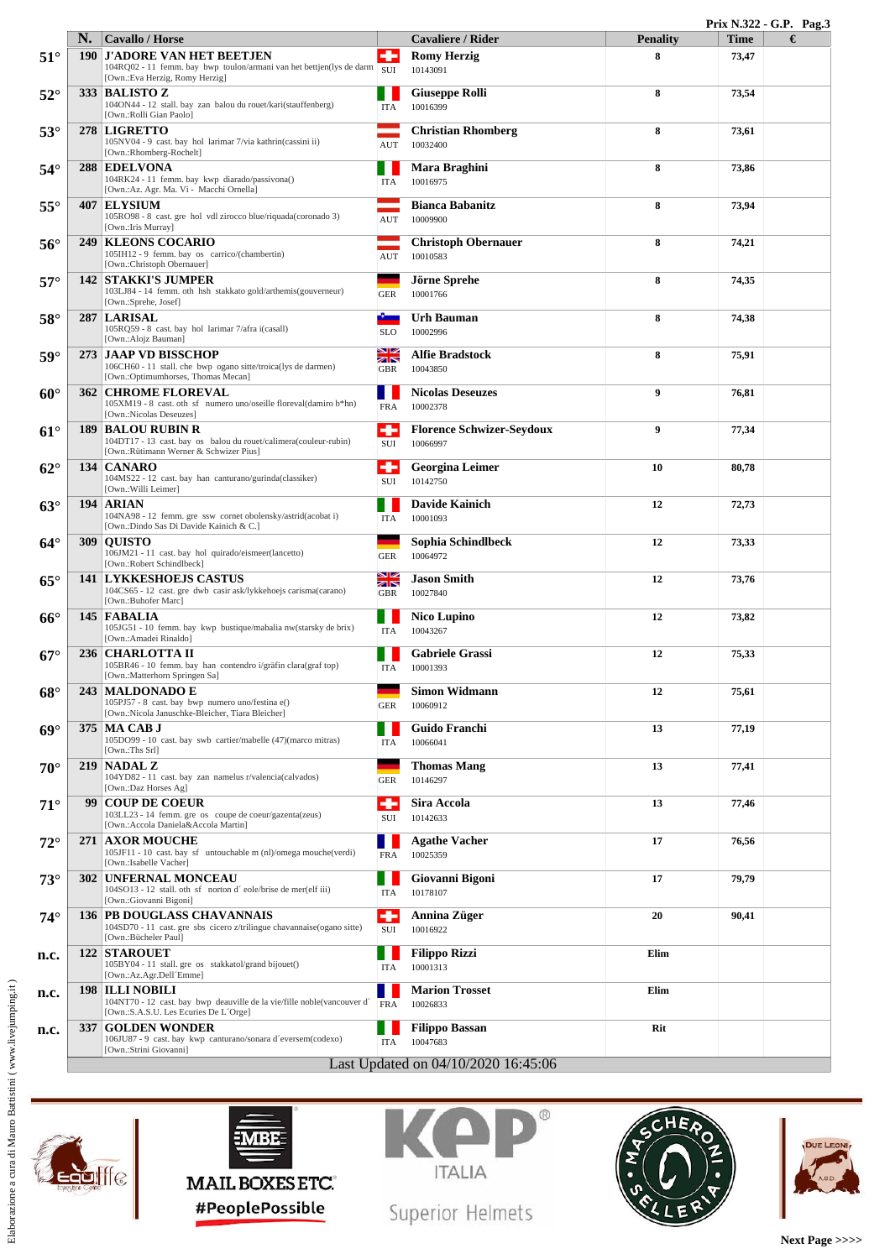|              |            |                                                                                                                                                  |                                       |                                              |                 | Prix N.322 - G.P. Pag.3 |   |  |  |
|--------------|------------|--------------------------------------------------------------------------------------------------------------------------------------------------|---------------------------------------|----------------------------------------------|-----------------|-------------------------|---|--|--|
|              | N.         | <b>Cavallo / Horse</b>                                                                                                                           |                                       | <b>Cavaliere / Rider</b>                     | <b>Penality</b> | <b>Time</b>             | € |  |  |
| $51^{\circ}$ |            | <b>190 J'ADORE VAN HET BEETJEN</b><br>104RQ02 - 11 femm. bay bwp toulon/armani van het bettjen(lys de darm SUI<br>[Own.:Eva Herzig, Romy Herzig] |                                       | <b>Romy Herzig</b><br>10143091               | 8               | 73,47                   |   |  |  |
| $52^{\circ}$ |            | 333 BALISTO Z<br>104ON44 - 12 stall, bay zan balou du rouet/kari(stauffenberg)<br>[Own.:Rolli Gian Paolo]                                        | <b>ITA</b>                            | <b>Giuseppe Rolli</b><br>10016399            | 8               | 73,54                   |   |  |  |
| $53^\circ$   |            | 278 LIGRETTO<br>105NV04 - 9 cast. bay hol larimar 7/via kathrin(cassini ii)<br>[Own.:Rhomberg-Rochelt]                                           | AUT                                   | <b>Christian Rhomberg</b><br>10032400        | 8               | 73,61                   |   |  |  |
| $54^\circ$   |            | 288 EDELVONA<br>104RK24 - 11 femm. bay kwp diarado/passivona()<br>[Own.:Az. Agr. Ma. Vi - Macchi Ornella]                                        | <b>ITA</b>                            | Mara Braghini<br>10016975                    | 8               | 73,86                   |   |  |  |
| $55^{\circ}$ | 407        | <b>ELYSIUM</b><br>105RO98 - 8 cast. gre hol vdl zirocco blue/riquada(coronado 3)<br>[Own.: Iris Murray]                                          | <b>AUT</b>                            | <b>Bianca Babanitz</b><br>10009900           | 8               | 73,94                   |   |  |  |
| $56^{\circ}$ |            | <b>249   KLEONS COCARIO</b><br>105IH12 - 9 femm. bay os carrico/(chambertin)<br>[Own.:Christoph Obernauer]                                       | <b>AUT</b>                            | <b>Christoph Obernauer</b><br>10010583       | 8               | 74,21                   |   |  |  |
| $57^\circ$   |            | <b>142 STAKKI'S JUMPER</b><br>103LJ84 - 14 femm. oth hsh stakkato gold/arthemis(gouverneur)<br>[Own.:Sprehe, Josef]                              | <b>GER</b>                            | Jörne Sprehe<br>10001766                     | 8               | 74,35                   |   |  |  |
| $58^\circ$   |            | 287 LARISAL<br>105RQ59 - 8 cast. bay hol larimar 7/afra i(casall)<br>[Own.:Alojz Bauman]                                                         | <b>SLO</b>                            | Urh Bauman<br>10002996                       | 8               | 74,38                   |   |  |  |
| $59^\circ$   |            | 273 JAAP VD BISSCHOP<br>106CH60 - 11 stall. che bwp ogano sitte/troica(lys de darmen)<br>[Own.:Optimumhorses, Thomas Mecan]                      | <u>su</u><br><b>ZON</b><br><b>GBR</b> | <b>Alfie Bradstock</b><br>10043850           | 8               | 75,91                   |   |  |  |
| $60^\circ$   |            | <b>362 CHROME FLOREVAL</b><br>105XM19 - 8 cast. oth sf numero uno/oseille floreval(damiro b*hn)<br>[Own.:Nicolas Deseuzes]                       | <b>FRA</b>                            | <b>Nicolas Deseuzes</b><br>10002378          | 9               | 76,81                   |   |  |  |
| $61^{\circ}$ | 189        | <b>BALOU RUBIN R</b><br>104DT17 - 13 cast. bay os balou du rouet/calimera(couleur-rubin)<br>[Own.:Rütimann Werner & Schwizer Pius]               | ÷<br><b>SUI</b>                       | <b>Florence Schwizer-Seydoux</b><br>10066997 | 9               | 77,34                   |   |  |  |
| $62^{\circ}$ |            | 134   CANARO<br>104MS22 - 12 cast. bay han canturano/gurinda(classiker)<br>[Own.:Willi Leimer]                                                   | ۰<br>SUI                              | <b>Georgina Leimer</b><br>10142750           | 10              | 80,78                   |   |  |  |
| $63^\circ$   |            | 194 ARIAN<br>104NA98 - 12 femm. gre ssw cornet obolensky/astrid(acobat i)<br>[Own.:Dindo Sas Di Davide Kainich & C.]                             | <b>ITA</b>                            | <b>Davide Kainich</b><br>10001093            | 12              | 72,73                   |   |  |  |
| $64^\circ$   | <b>309</b> | <b>OUISTO</b><br>106JM21 - 11 cast. bay hol quirado/eismeer(lancetto)<br>[Own.:Robert Schindlbeck]                                               | <b>GER</b>                            | Sophia Schindlbeck<br>10064972               | 12              | 73,33                   |   |  |  |
| $65^{\circ}$ |            | <b>141 LYKKESHOEJS CASTUS</b><br>104CS65 - 12 cast. gre dwb casir ask/lykkehoejs carisma(carano)<br>[Own.:Buhofer Marc]                          | NØ<br>不下<br><b>GBR</b>                | <b>Jason Smith</b><br>10027840               | 12              | 73,76                   |   |  |  |
| $66^\circ$   |            | 145 FABALIA<br>105JG51 - 10 femm. bay kwp bustique/mabalia nw(starsky de brix)<br>[Own.:Amadei Rinaldo]                                          | <b>ITA</b>                            | <b>Nico Lupino</b><br>10043267               | 12              | 73,82                   |   |  |  |
| $67^\circ$   |            | 236   CHARLOTTA II<br>105BR46 - 10 femm. bay han contendro i/gräfin clara(graf top)<br>[Own.:Matterhorn Springen Sa]                             | <b>ITA</b>                            | <b>Gabriele Grassi</b><br>10001393           | 12              | 75,33                   |   |  |  |
| $68^\circ$   | 243        | <b>MALDONADO E</b><br>105PJ57 - 8 cast. bay bwp numero uno/festina e()<br>[Own.:Nicola Januschke-Bleicher, Tiara Bleicher]                       | <b>GER</b>                            | Simon Widmann<br>10060912                    | 12              | 75,61                   |   |  |  |
| $69^\circ$   |            | 375 MA CAB J<br>105DO99 - 10 cast. bay swb cartier/mabelle (47)(marco mitras)<br>[Own.:Ths Srl]                                                  | ITA                                   | Guido Franchi<br>10066041                    | 13              | 77,19                   |   |  |  |
| $70^{\circ}$ |            | $219$ NADAL Z<br>104YD82 - 11 cast. bay zan namelus r/valencia(calvados)<br>[Own.:Daz Horses Ag]                                                 | <b>GER</b>                            | <b>Thomas Mang</b><br>10146297               | 13              | 77,41                   |   |  |  |
| $71^\circ$   |            | 99 COUP DE COEUR<br>103LL23 - 14 femm. gre os coupe de coeur/gazenta(zeus)<br>[Own.:Accola Daniela&Accola Martin]                                | ۰<br>SUI                              | Sira Accola<br>10142633                      | 13              | 77,46                   |   |  |  |
| $72^{\circ}$ |            | <b>271 AXOR MOUCHE</b><br>105JF11 - 10 cast. bay sf untouchable m (nl)/omega mouche(verdi)<br>[Own.:Isabelle Vacher]                             | <b>FRA</b>                            | <b>Agathe Vacher</b><br>10025359             | 17              | 76,56                   |   |  |  |
| $73^\circ$   |            | <b>302 UNFERNAL MONCEAU</b><br>104SO13 - 12 stall. oth sf norton d'eole/brise de mer(elf iii)<br>[Own.:Giovanni Bigoni]                          | <b>ITA</b>                            | Giovanni Bigoni<br>10178107                  | 17              | 79,79                   |   |  |  |
| $74^\circ$   |            | <b>136 PB DOUGLASS CHAVANNAIS</b><br>104SD70 - 11 cast. gre sbs cicero z/trilingue chavannaise(ogano sitte)<br>[Own.:Bücheler Paul]              | ÷<br>SUI                              | Annina Züger<br>10016922                     | 20              | 90,41                   |   |  |  |
| n.c.         |            | <b>122 STAROUET</b><br>105BY04 - 11 stall. gre os stakkatol/grand bijouet()<br>[Own.:Az.Agr.Dell Emme]                                           | <b>ITA</b>                            | <b>Filippo Rizzi</b><br>10001313             | Elim            |                         |   |  |  |
| n.c.         |            | <b>198 ILLI NOBILI</b><br>104NT70 - 12 cast. bay bwp deauville de la vie/fille noble(vancouver d'<br>[Own.:S.A.S.U. Les Ecuries De L'Orge]       | <b>FRA</b>                            | <b>Marion Trosset</b><br>10026833            | Elim            |                         |   |  |  |
| n.c.         |            | 337 GOLDEN WONDER<br>106JU87 - 9 cast. bay kwp canturano/sonara d'eversem(codexo)<br>[Own.:Strini Giovanni]                                      | <b>ITA</b>                            | <b>Filippo Bassan</b><br>10047683            | Rit             |                         |   |  |  |
|              |            |                                                                                                                                                  |                                       | Last Updated on 04/10/2020 16:45:06          |                 |                         |   |  |  |